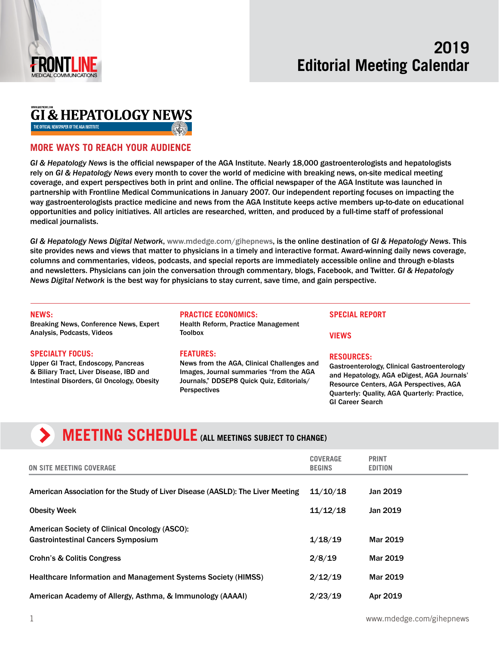

## **GI & HEPATOLOGY NEWS**

THE OFFICIAL NEWSPAPER OF THE AGA INSTITUTE

### **MORE WAYS TO REACH YOUR AUDIENCE**

*GI & Hepatology News* is the official newspaper of the AGA Institute. Nearly 18,000 gastroenterologists and hepatologists rely on *GI & Hepatology News* every month to cover the world of medicine with breaking news, on-site medical meeting coverage, and expert perspectives both in print and online. The official newspaper of the AGA Institute was launched in partnership with Frontline Medical Communications in January 2007. Our independent reporting focuses on impacting the way gastroenterologists practice medicine and news from the AGA Institute keeps active members up-to-date on educational opportunities and policy initiatives. All articles are researched, written, and produced by a full-time staff of professional medical journalists.

*GI & Hepatology News Digital Network*, [www.mdedge.com/gihepnews,](http://www.mdedge.com/gihepnews) is the online destination of *GI & Hepatology News*. This site provides news and views that matter to physicians in a timely and interactive format. Award-winning daily news coverage, columns and commentaries, videos, podcasts, and special reports are immediately accessible online and through e-blasts and newsletters. Physicians can join the conversation through commentary, blogs, Facebook, and Twitter. *GI & Hepatology News Digital Network* is the best way for physicians to stay current, save time, and gain perspective.

#### **NEWS:**

Breaking News, Conference News, Expert Analysis, Podcasts, Videos

#### **SPECIALTY FOCUS:**

Upper GI Tract, Endoscopy, Pancreas & Biliary Tract, Liver Disease, IBD and Intestinal Disorders, GI Oncology, Obesity

#### **PRACTICE ECONOMICS:**

Health Reform, Practice Management **Toolbox** 

#### **FEATURES:**

News from the AGA, Clinical Challenges and Images, Journal summaries "from the AGA Journals," DDSEP8 Quick Quiz, Editorials/ **Perspectives** 

#### **SPECIAL REPORT**

**VIEWS**

#### **RESOURCES:**

Gastroenterology, Clinical Gastroenterology and Hepatology, AGA eDigest, AGA Journals' Resource Centers, AGA Perspectives, AGA Quarterly: Quality, AGA Quarterly: Practice, GI Career Search

# **MEETING SCHEDULE** (ALL MEETINGS SUBJECT TO CHANGE)

| ON SITE MEETING COVERAGE                                                                   | <b>COVERAGE</b><br><b>BEGINS</b> | <b>PRINT</b><br><b>EDITION</b> |
|--------------------------------------------------------------------------------------------|----------------------------------|--------------------------------|
| American Association for the Study of Liver Disease (AASLD): The Liver Meeting             | 11/10/18                         | Jan 2019                       |
| <b>Obesity Week</b>                                                                        | 11/12/18                         | Jan 2019                       |
| American Society of Clinical Oncology (ASCO):<br><b>Gastrointestinal Cancers Symposium</b> | 1/18/19                          | Mar 2019                       |
| Crohn's & Colitis Congress                                                                 | 2/8/19                           | Mar 2019                       |
| <b>Healthcare Information and Management Systems Society (HIMSS)</b>                       | 2/12/19                          | Mar 2019                       |
| American Academy of Allergy, Asthma, & Immunology (AAAAI)                                  | 2/23/19                          | Apr 2019                       |